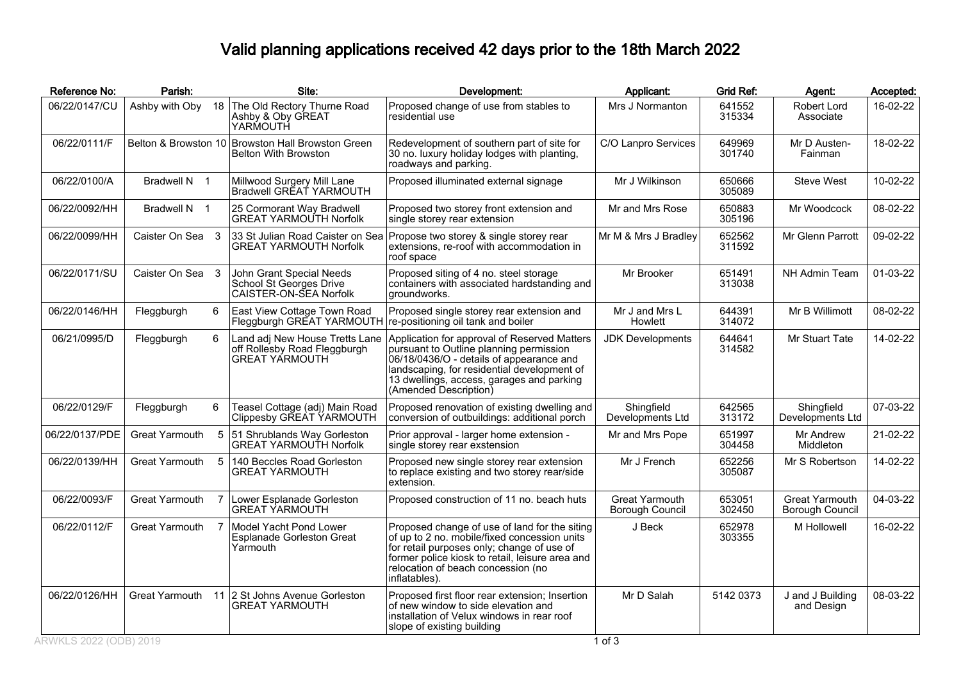## Valid planning applications received 42 days prior to the 18th March 2022

| Reference No:  | Parish:          |   | Site:                                                                                   | Development:                                                                                                                                                                                                                                             | Applicant:                                      | <b>Grid Ref:</b> | Agent:                                   | Accepted: |
|----------------|------------------|---|-----------------------------------------------------------------------------------------|----------------------------------------------------------------------------------------------------------------------------------------------------------------------------------------------------------------------------------------------------------|-------------------------------------------------|------------------|------------------------------------------|-----------|
| 06/22/0147/CU  | Ashby with Oby   |   | 18 The Old Rectory Thurne Road<br>Ashby & Oby GREAT<br>YARMOUTH                         | Proposed change of use from stables to<br>residential use                                                                                                                                                                                                | Mrs J Normanton                                 | 641552<br>315334 | Robert Lord<br>Associate                 | 16-02-22  |
| 06/22/0111/F   |                  |   | Belton & Browston 10 Browston Hall Browston Green<br><b>Belton With Browston</b>        | Redevelopment of southern part of site for<br>30 no. luxury holiday lodges with planting,<br>roadways and parking.                                                                                                                                       | C/O Lanpro Services                             | 649969<br>301740 | Mr D Austen-<br>Fainman                  | 18-02-22  |
| 06/22/0100/A   | Bradwell N 1     |   | Millwood Surgery Mill Lane<br>Bradwell GREAT YARMOUTH                                   | Proposed illuminated external signage                                                                                                                                                                                                                    | Mr J Wilkinson                                  | 650666<br>305089 | <b>Steve West</b>                        | 10-02-22  |
| 06/22/0092/HH  | Bradwell N 1     |   | 25 Cormorant Way Bradwell<br><b>GREAT YARMOUTH Norfolk</b>                              | Proposed two storey front extension and<br>single storey rear extension                                                                                                                                                                                  | Mr and Mrs Rose                                 | 650883<br>305196 | Mr Woodcock                              | 08-02-22  |
| 06/22/0099/HH  | Caister On Sea 3 |   | 33 St Julian Road Caister on Sea<br><b>GREAT YARMOUTH Norfolk</b>                       | Propose two storey & single storey rear<br>extensions, re-roof with accommodation in<br>roof space                                                                                                                                                       | Mr M & Mrs J Bradley                            | 652562<br>311592 | Mr Glenn Parrott                         | 09-02-22  |
| 06/22/0171/SU  | Caister On Sea 3 |   | John Grant Special Needs<br>School St Georges Drive<br>CAISTER-ON-SEA Norfolk           | Proposed siting of 4 no. steel storage<br>containers with associated hardstanding and<br>aroundworks.                                                                                                                                                    | Mr Brooker                                      | 651491<br>313038 | NH Admin Team                            | 01-03-22  |
| 06/22/0146/HH  | Fleggburgh       | 6 | East View Cottage Town Road<br>Fleggburgh GREAT YARMOUTH                                | Proposed single storey rear extension and<br>re-positioning oil tank and boiler                                                                                                                                                                          | Mr J and Mrs L<br>Howlett                       | 644391<br>314072 | Mr B Willimott                           | 08-02-22  |
| 06/21/0995/D   | Fleggburgh       | 6 | Land adj New House Tretts Lane<br>off Rollesby Road Fleggburgh<br><b>GREAT YARMOUTH</b> | Application for approval of Reserved Matters<br>pursuant to Outline planning permission<br>06/18/0436/O - details of appearance and<br>landscaping, for residential development of<br>13 dwellings, access, garages and parking<br>(Amended Description) | <b>JDK Developments</b>                         | 644641<br>314582 | Mr Stuart Tate                           | 14-02-22  |
| 06/22/0129/F   | Fleggburgh       | 6 | Teasel Cottage (adj) Main Road<br>Clippesby GREAT YARMOUTH                              | Proposed renovation of existing dwelling and<br>conversion of outbuildings: additional porch                                                                                                                                                             | Shingfield<br>Developments Ltd                  | 642565<br>313172 | Shingfield<br>Developments Ltd           | 07-03-22  |
| 06/22/0137/PDE | Great Yarmouth   |   | 5 51 Shrublands Way Gorleston<br>GREAT YARMOUTH Norfolk                                 | Prior approval - larger home extension -<br>single storey rear exstension                                                                                                                                                                                | Mr and Mrs Pope                                 | 651997<br>304458 | Mr Andrew<br>Middleton                   | 21-02-22  |
| 06/22/0139/HH  | Great Yarmouth   | 5 | 140 Beccles Road Gorleston<br>GREAT YARMOUTH                                            | Proposed new single storey rear extension<br>to replace existing and two storey rear/side<br>extension.                                                                                                                                                  | Mr J French                                     | 652256<br>305087 | Mr S Robertson                           | 14-02-22  |
| 06/22/0093/F   | Great Yarmouth   |   | Lower Esplanade Gorleston<br><b>GREAT YARMOUTH</b>                                      | Proposed construction of 11 no. beach huts                                                                                                                                                                                                               | <b>Great Yarmouth</b><br><b>Borough Council</b> | 653051<br>302450 | <b>Great Yarmouth</b><br>Borough Council | 04-03-22  |
| 06/22/0112/F   | Great Yarmouth   |   | Model Yacht Pond Lower<br><b>Esplanade Gorleston Great</b><br>Yarmouth                  | Proposed change of use of land for the siting<br>of up to 2 no. mobile/fixed concession units<br>for retail purposes only; change of use of<br>former police kiosk to retail, leisure area and<br>relocation of beach concession (no<br>inflatables).    | J Beck                                          | 652978<br>303355 | M Hollowell                              | 16-02-22  |
| 06/22/0126/HH  | Great Yarmouth   |   | 11 2 St Johns Avenue Gorleston<br><b>GREAT YARMOUTH</b>                                 | Proposed first floor rear extension; Insertion<br>of new window to side elevation and<br>installation of Velux windows in rear roof<br>slope of existing building                                                                                        | Mr D Salah                                      | 5142 0373        | J and J Building<br>and Design           | 08-03-22  |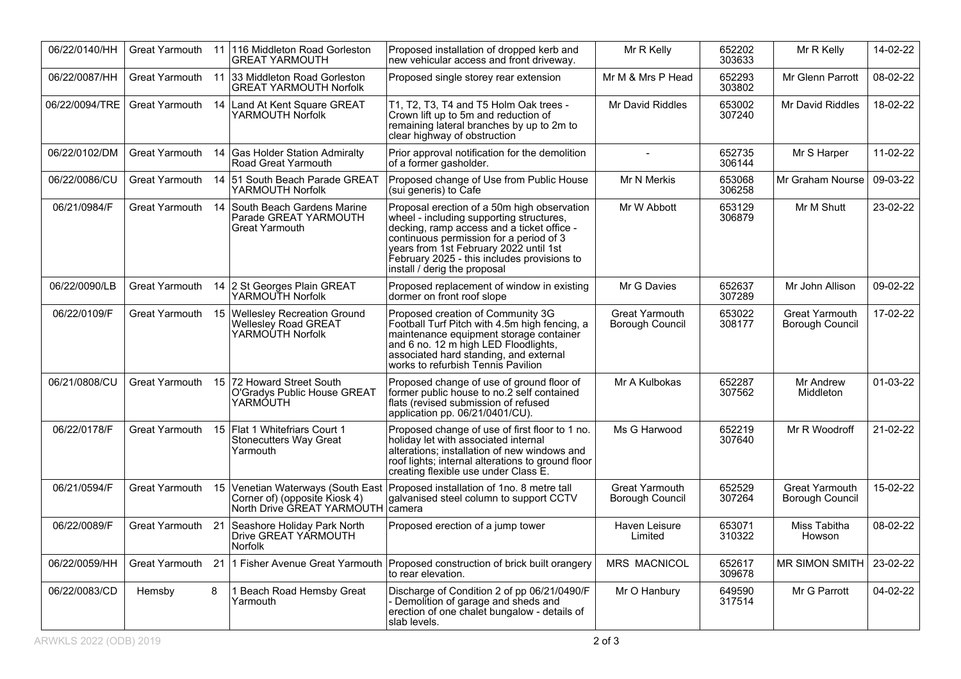| 06/22/0140/HH  | Great Yarmouth        |    | 11 116 Middleton Road Gorleston<br>GREAT YARMOUTH                                         | Proposed installation of dropped kerb and<br>new vehicular access and front driveway.                                                                                                                                                                                                                     | Mr R Kelly                                      | 652202<br>303633 | Mr R Kelly                        | 14-02-22 |
|----------------|-----------------------|----|-------------------------------------------------------------------------------------------|-----------------------------------------------------------------------------------------------------------------------------------------------------------------------------------------------------------------------------------------------------------------------------------------------------------|-------------------------------------------------|------------------|-----------------------------------|----------|
| 06/22/0087/HH  |                       |    | Great Yarmouth 11 33 Middleton Road Gorleston<br><b>GREAT YARMOUTH Norfolk</b>            | Proposed single storey rear extension                                                                                                                                                                                                                                                                     | Mr M & Mrs P Head                               | 652293<br>303802 | Mr Glenn Parrott                  | 08-02-22 |
| 06/22/0094/TRE | Great Yarmouth        | 14 | Land At Kent Square GREAT<br>YARMOUTH Norfolk                                             | T1, T2, T3, T4 and T5 Holm Oak trees -<br>Crown lift up to 5m and reduction of<br>remaining lateral branches by up to 2m to<br>clear highway of obstruction                                                                                                                                               | Mr David Riddles                                | 653002<br>307240 | Mr David Riddles                  | 18-02-22 |
| 06/22/0102/DM  | <b>Great Yarmouth</b> |    | 14 Gas Holder Station Admiralty<br>Road Great Yarmouth                                    | Prior approval notification for the demolition<br>of a former gasholder.                                                                                                                                                                                                                                  | $\sim$                                          | 652735<br>306144 | Mr S Harper                       | 11-02-22 |
| 06/22/0086/CU  | Great Yarmouth        |    | 14 51 South Beach Parade GREAT<br>YARMOUTH Norfolk                                        | Proposed change of Use from Public House<br>(sui generis) to Cafe                                                                                                                                                                                                                                         | Mr N Merkis                                     | 653068<br>306258 | Mr Graham Nourse                  | 09-03-22 |
| 06/21/0984/F   | <b>Great Yarmouth</b> |    | 14 South Beach Gardens Marine<br>Parade GREAT YARMOUTH<br>Great Yarmouth                  | Proposal erection of a 50m high observation<br>wheel - including supporting structures,<br>decking, ramp access and a ticket office -<br>continuous permission for a period of 3<br>years from 1st February 2022 until 1st<br>February 2025 - this includes provisions to<br>install / derig the proposal | Mr W Abbott                                     | 653129<br>306879 | Mr M Shutt                        | 23-02-22 |
| 06/22/0090/LB  | Great Yarmouth        |    | 14 2 St Georges Plain GREAT<br>YARMOUTH Norfolk                                           | Proposed replacement of window in existing<br>dormer on front roof slope                                                                                                                                                                                                                                  | Mr G Davies                                     | 652637<br>307289 | Mr John Allison                   | 09-02-22 |
| 06/22/0109/F   | <b>Great Yarmouth</b> |    | 15 Wellesley Recreation Ground<br>Wellesley Road GREAT<br>YARMOÙTH Norfolk                | Proposed creation of Community 3G<br>Football Turf Pitch with 4.5m high fencing, a<br>maintenance equipment storage container<br>and 6 no. 12 m high LED Floodlights,<br>associated hard standing, and external<br>works to refurbish Tennis Pavilion                                                     | <b>Great Yarmouth</b><br><b>Borough Council</b> | 653022<br>308177 | Great Yarmouth<br>Borough Council | 17-02-22 |
| 06/21/0808/CU  | Great Yarmouth        |    | 15 72 Howard Street South<br>O'Gradys Public House GREAT<br>YARMÓUTH                      | Proposed change of use of ground floor of<br>former public house to no.2 self contained<br>flats (revised submission of refused<br>application pp. 06/21/0401/CU).                                                                                                                                        | Mr A Kulbokas                                   | 652287<br>307562 | Mr Andrew<br>Middleton            | 01-03-22 |
| 06/22/0178/F   | Great Yarmouth        |    | 15 Flat 1 Whitefriars Court 1<br>Stonecutters Way Great<br>Yarmouth                       | Proposed change of use of first floor to 1 no.<br>holiday let with associated internal<br>alterations; installation of new windows and<br>roof lights; internal alterations to ground floor<br>creating flexible use under Class E.                                                                       | Ms G Harwood                                    | 652219<br>307640 | Mr R Woodroff                     | 21-02-22 |
| 06/21/0594/F   | Great Yarmouth        | 15 | Corner of) (opposite Kiosk 4)<br>North Drive GREAT YARMOUTH camera                        | Venetian Waterways (South East   Proposed installation of 1no. 8 metre tall<br>galvanised steel column to support CCTV                                                                                                                                                                                    | Great Yarmouth<br>Borough Council               | 652529<br>307264 | Great Yarmouth<br>Borough Council | 15-02-22 |
| 06/22/0089/F   |                       |    | Great Yarmouth 21   Seashore Holiday Park North<br>Drive GREAT YARMOUTH<br><b>Norfolk</b> | Proposed erection of a jump tower                                                                                                                                                                                                                                                                         | Haven Leisure<br>Limited                        | 653071<br>310322 | Miss Tabitha<br>Howson            | 08-02-22 |
| 06/22/0059/HH  | Great Yarmouth        |    |                                                                                           | 21 1 Fisher Avenue Great Yarmouth Proposed construction of brick built orangery<br>to rear elevation.                                                                                                                                                                                                     | MRS MACNICOL                                    | 652617<br>309678 | MR SIMON SMITH                    | 23-02-22 |
| 06/22/0083/CD  | Hemsby                | 8  | 1 Beach Road Hemsby Great<br>Yarmouth                                                     | Discharge of Condition 2 of pp 06/21/0490/F<br>Demolition of garage and sheds and<br>erection of one chalet bungalow - details of<br>slab levels.                                                                                                                                                         | Mr O Hanbury                                    | 649590<br>317514 | Mr G Parrott                      | 04-02-22 |